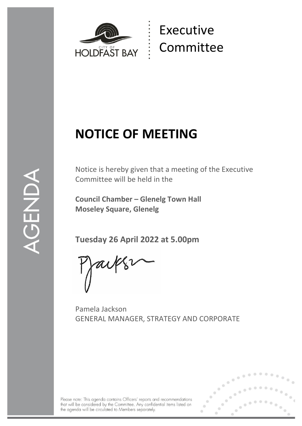

# Executive Committee

# **NOTICE OF MEETING**

1

Notice is hereby given that a meeting of the Executive Committee will be held in the

**Council Chamber – Glenelg Town Hall Moseley Square, Glenelg**

**Tuesday 26 April 2022 at 5.00pm**

Pamela Jackson GENERAL MANAGER, STRATEGY AND CORPORATE

Please note: This agenda contains Officers' reports and recommendations that will be considered by the Committee. Any confidential items listed on the agenda will be circulated to Members separately.

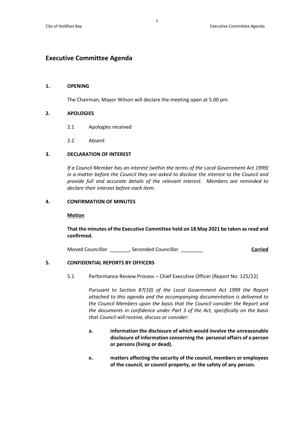## **Executive Committee Agenda**

#### **1. OPENING**

The Chairman, Mayor Wilson will declare the meeting open at 5.00 pm.

#### **2. APOLOGIES**

- 2.1 Apologies received
- 2.2 Absent

#### **3. DECLARATION OF INTEREST**

*If a Council Member has an interest (within the terms of the Local Government Act 1999) in a matter before the Council they are asked to disclose the interest to the Council and provide full and accurate details of the relevant interest. Members are reminded to declare their interest before each item.*

#### **4. CONFIRMATION OF MINUTES**

#### **Motion**

**That the minutes of the Executive Committee held on 18 May 2021 be taken as read and confirmed.**

Moved Councillor \_\_\_\_\_\_\_, Seconded Councillor \_\_\_\_\_\_\_\_ **Carried**

### **5. CONFIDENTIAL REPORTS BY OFFICERS**

5.1 Performance Review Process – Chief Executive Officer (Report No: 125/22)

*Pursuant to Section 87(10) of the Local Government Act 1999 the Report attached to this agenda and the accompanying documentation is delivered to the Council Members upon the basis that the Council consider the Report and the documents in confidence under Part 3 of the Act, specifically on the basis that Council will receive, discuss or consider:*

- **a. information the disclosure of which would involve the unreasonable disclosure of information concerning the personal affairs of a person or persons (living or dead).**
- **e. matters affecting the security of the council, members or employees of the council, or council property, or the safety of any person.**